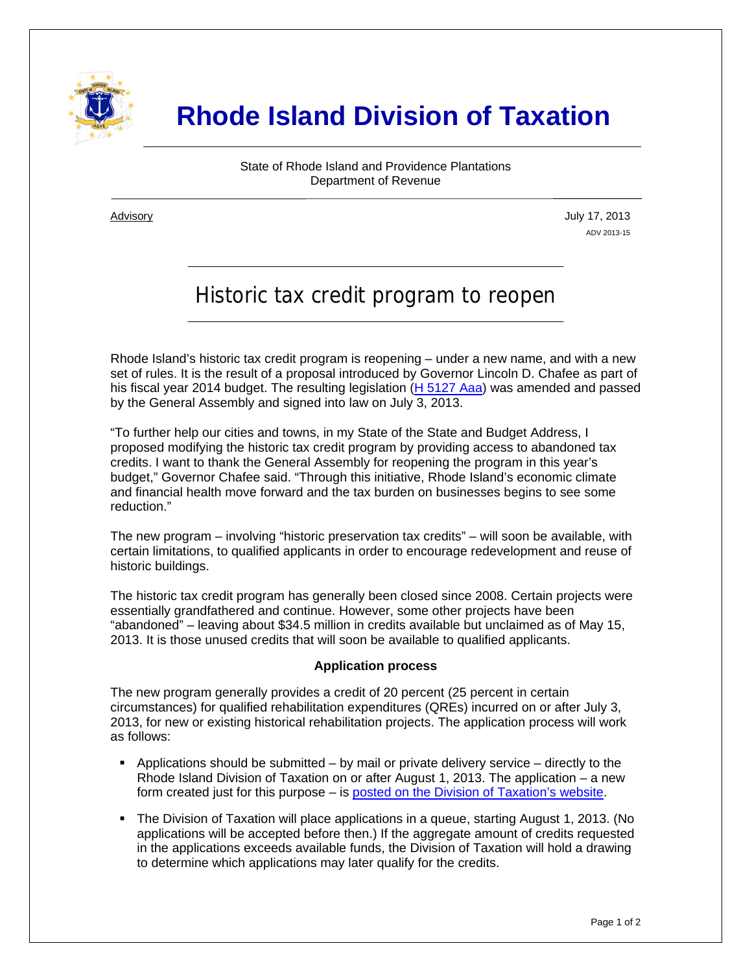

## **Rhode Island Division of Taxation**

State of Rhode Island and Providence Plantations Department of Revenue

i

Advisory July 17, 2013 ADV 2013-15

## Historic tax credit program to reopen

Rhode Island's historic tax credit program is reopening – under a new name, and with a new set of rules. It is the result of a proposal introduced by Governor Lincoln D. Chafee as part of his fiscal year 2014 budget. The resulting legislation [\(H 5127 Aaa\)](http://webserver.rilin.state.ri.us/BillText/BillText13/HouseText13/H5127Aaa.pdf) was amended and passed by the General Assembly and signed into law on July 3, 2013.

"To further help our cities and towns, in my State of the State and Budget Address, I proposed modifying the historic tax credit program by providing access to abandoned tax credits. I want to thank the General Assembly for reopening the program in this year's budget," Governor Chafee said. "Through this initiative, Rhode Island's economic climate and financial health move forward and the tax burden on businesses begins to see some reduction."

The new program – involving "historic preservation tax credits" – will soon be available, with certain limitations, to qualified applicants in order to encourage redevelopment and reuse of historic buildings.

The historic tax credit program has generally been closed since 2008. Certain projects were essentially grandfathered and continue. However, some other projects have been "abandoned" – leaving about \$34.5 million in credits available but unclaimed as of May 15, 2013. It is those unused credits that will soon be available to qualified applicants.

## **Application process**

The new program generally provides a credit of 20 percent (25 percent in certain circumstances) for qualified rehabilitation expenditures (QREs) incurred on or after July 3, 2013, for new or existing historical rehabilitation projects. The application process will work as follows:

- Applications should be submitted by mail or private delivery service directly to the Rhode Island Division of Taxation on or after August 1, 2013. The application  $-$  a new form created just for this purpose – is [posted on the Division of Taxation's website.](http://www.tax.ri.gov/forms/2013/Misc/HTC2013Application.pdf)
- The Division of Taxation will place applications in a queue, starting August 1, 2013. (No applications will be accepted before then.) If the aggregate amount of credits requested in the applications exceeds available funds, the Division of Taxation will hold a drawing to determine which applications may later qualify for the credits.